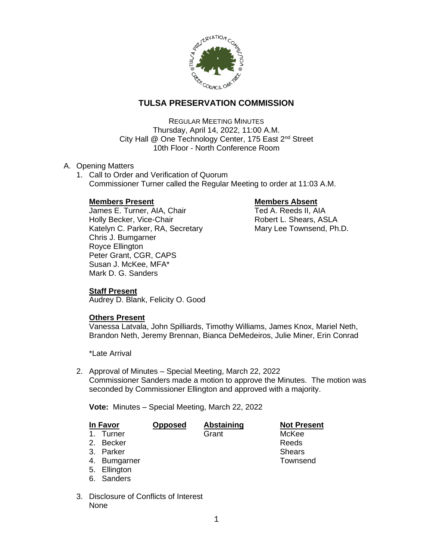

# **TULSA PRESERVATION COMMISSION**

REGULAR MEETING MINUTES Thursday, April 14, 2022, 11:00 A.M. City Hall @ One Technology Center, 175 East 2<sup>nd</sup> Street 10th Floor - North Conference Room

### A. Opening Matters

1. Call to Order and Verification of Quorum Commissioner Turner called the Regular Meeting to order at 11:03 A.M.

## **Members Present Communist Communist Present Absent**

James E. Turner, AIA, Chair Ted A. Reeds II, AIA Holly Becker, Vice-Chair **Robert L. Shears, ASLA** Katelyn C. Parker, RA, Secretary Mary Lee Townsend, Ph.D. Chris J. Bumgarner Royce Ellington Peter Grant, CGR, CAPS Susan J. McKee, MFA\* Mark D. G. Sanders

# **Staff Present**

Audrey D. Blank, Felicity O. Good

### **Others Present**

Vanessa Latvala, John Spilliards, Timothy Williams, James Knox, Mariel Neth, Brandon Neth, Jeremy Brennan, Bianca DeMedeiros, Julie Miner, Erin Conrad

\*Late Arrival

2. Approval of Minutes – Special Meeting, March 22, 2022 Commissioner Sanders made a motion to approve the Minutes. The motion was seconded by Commissioner Ellington and approved with a majority.

**Vote:** Minutes – Special Meeting, March 22, 2022

| In Favor       |              | <b>Opposed</b> | <b>Abstaining</b> | <b>Not Present</b> |
|----------------|--------------|----------------|-------------------|--------------------|
| 1 <sub>1</sub> | Turner       |                | Grant             | McKee              |
|                | 2. Becker    |                |                   | Reeds              |
|                | 3. Parker    |                |                   | <b>Shears</b>      |
|                | 4. Bumgarner |                |                   | Townsend           |
|                | 5. Ellington |                |                   |                    |
|                | 6. Sanders   |                |                   |                    |
|                |              |                |                   |                    |

3. Disclosure of Conflicts of Interest None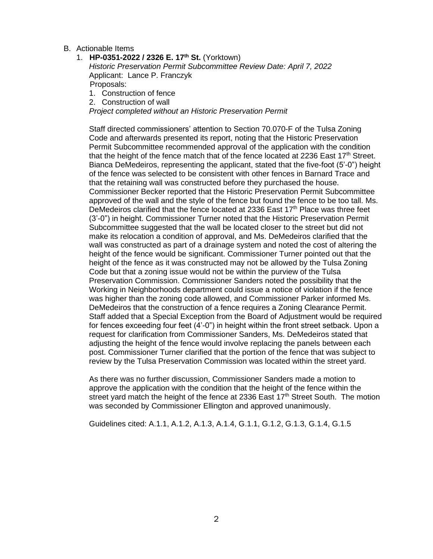- B. Actionable Items
	- 1. **HP-0351-2022 / 2326 E. 17th St.** (Yorktown) *Historic Preservation Permit Subcommittee Review Date: April 7, 2022* Applicant: Lance P. Franczyk Proposals:
		- 1. Construction of fence
		- 2. Construction of wall

*Project completed without an Historic Preservation Permit*

Staff directed commissioners' attention to Section 70.070-F of the Tulsa Zoning Code and afterwards presented its report, noting that the Historic Preservation Permit Subcommittee recommended approval of the application with the condition that the height of the fence match that of the fence located at 2236 East  $17<sup>th</sup>$  Street. Bianca DeMedeiros, representing the applicant, stated that the five-foot (5'-0") height of the fence was selected to be consistent with other fences in Barnard Trace and that the retaining wall was constructed before they purchased the house. Commissioner Becker reported that the Historic Preservation Permit Subcommittee approved of the wall and the style of the fence but found the fence to be too tall. Ms. DeMedeiros clarified that the fence located at 2336 East 17<sup>th</sup> Place was three feet (3'-0") in height. Commissioner Turner noted that the Historic Preservation Permit Subcommittee suggested that the wall be located closer to the street but did not make its relocation a condition of approval, and Ms. DeMedeiros clarified that the wall was constructed as part of a drainage system and noted the cost of altering the height of the fence would be significant. Commissioner Turner pointed out that the height of the fence as it was constructed may not be allowed by the Tulsa Zoning Code but that a zoning issue would not be within the purview of the Tulsa Preservation Commission. Commissioner Sanders noted the possibility that the Working in Neighborhoods department could issue a notice of violation if the fence was higher than the zoning code allowed, and Commissioner Parker informed Ms. DeMedeiros that the construction of a fence requires a Zoning Clearance Permit. Staff added that a Special Exception from the Board of Adjustment would be required for fences exceeding four feet (4'-0") in height within the front street setback. Upon a request for clarification from Commissioner Sanders, Ms. DeMedeiros stated that adjusting the height of the fence would involve replacing the panels between each post. Commissioner Turner clarified that the portion of the fence that was subject to review by the Tulsa Preservation Commission was located within the street yard.

As there was no further discussion, Commissioner Sanders made a motion to approve the application with the condition that the height of the fence within the street yard match the height of the fence at 2336 East  $17<sup>th</sup>$  Street South. The motion was seconded by Commissioner Ellington and approved unanimously.

Guidelines cited: A.1.1, A.1.2, A.1.3, A.1.4, G.1.1, G.1.2, G.1.3, G.1.4, G.1.5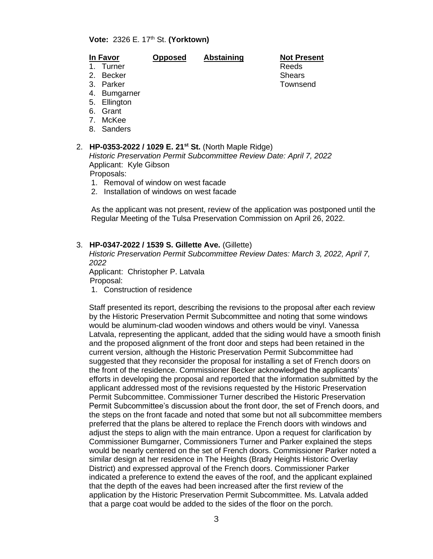### **Vote:** 2326 E. 17th St. **(Yorktown)**

### **In Favor Opposed Abstaining Not Present**

- 2. Becker Shears Shears Shears Shears Shears Shears Shears Shears Shears Shears Shears Shears Shears Shears Shears Shears Shears Shears Shears Shears Shears Shears Shears Shears Shears Shears Shears Shears Shears Shears Sh
- 1. Turner **Reeds**

3. Parker Townsend

- 
- 
- 4. Bumgarner
- 5. Ellington
- 6. Grant
- 7. McKee
- 8. Sanders

### 2. **HP-0353-2022 / 1029 E. 21st St.** (North Maple Ridge)

*Historic Preservation Permit Subcommittee Review Date: April 7, 2022* Applicant: Kyle Gibson

Proposals:

- 1. Removal of window on west facade
- 2. Installation of windows on west facade

As the applicant was not present, review of the application was postponed until the Regular Meeting of the Tulsa Preservation Commission on April 26, 2022.

### 3. **HP-0347-2022 / 1539 S. Gillette Ave.** (Gillette)

*Historic Preservation Permit Subcommittee Review Dates: March 3, 2022, April 7, 2022*

Applicant: Christopher P. Latvala Proposal:

1. Construction of residence

Staff presented its report, describing the revisions to the proposal after each review by the Historic Preservation Permit Subcommittee and noting that some windows would be aluminum-clad wooden windows and others would be vinyl. Vanessa Latvala, representing the applicant, added that the siding would have a smooth finish and the proposed alignment of the front door and steps had been retained in the current version, although the Historic Preservation Permit Subcommittee had suggested that they reconsider the proposal for installing a set of French doors on the front of the residence. Commissioner Becker acknowledged the applicants' efforts in developing the proposal and reported that the information submitted by the applicant addressed most of the revisions requested by the Historic Preservation Permit Subcommittee. Commissioner Turner described the Historic Preservation Permit Subcommittee's discussion about the front door, the set of French doors, and the steps on the front facade and noted that some but not all subcommittee members preferred that the plans be altered to replace the French doors with windows and adjust the steps to align with the main entrance. Upon a request for clarification by Commissioner Bumgarner, Commissioners Turner and Parker explained the steps would be nearly centered on the set of French doors. Commissioner Parker noted a similar design at her residence in The Heights (Brady Heights Historic Overlay District) and expressed approval of the French doors. Commissioner Parker indicated a preference to extend the eaves of the roof, and the applicant explained that the depth of the eaves had been increased after the first review of the application by the Historic Preservation Permit Subcommittee. Ms. Latvala added that a parge coat would be added to the sides of the floor on the porch.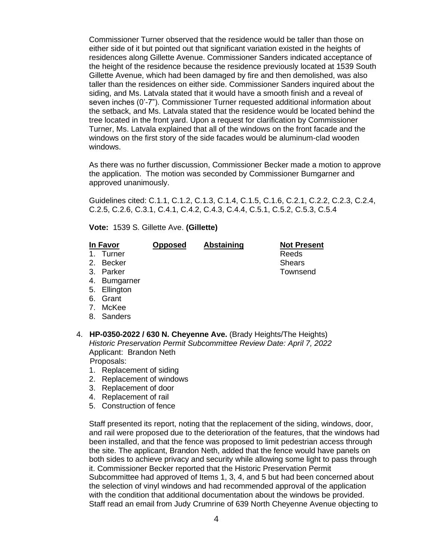Commissioner Turner observed that the residence would be taller than those on either side of it but pointed out that significant variation existed in the heights of residences along Gillette Avenue. Commissioner Sanders indicated acceptance of the height of the residence because the residence previously located at 1539 South Gillette Avenue, which had been damaged by fire and then demolished, was also taller than the residences on either side. Commissioner Sanders inquired about the siding, and Ms. Latvala stated that it would have a smooth finish and a reveal of seven inches (0'-7"). Commissioner Turner requested additional information about the setback, and Ms. Latvala stated that the residence would be located behind the tree located in the front yard. Upon a request for clarification by Commissioner Turner, Ms. Latvala explained that all of the windows on the front facade and the windows on the first story of the side facades would be aluminum-clad wooden windows.

As there was no further discussion, Commissioner Becker made a motion to approve the application. The motion was seconded by Commissioner Bumgarner and approved unanimously.

Guidelines cited: C.1.1, C.1.2, C.1.3, C.1.4, C.1.5, C.1.6, C.2.1, C.2.2, C.2.3, C.2.4, C.2.5, C.2.6, C.3.1, C.4.1, C.4.2, C.4.3, C.4.4, C.5.1, C.5.2, C.5.3, C.5.4

**Vote:** 1539 S. Gillette Ave. **(Gillette)**

### **In Favor Opposed Abstaining Not Present**

1. Turner Reeds

- 2. Becker Shears Shears Shears Shears Shears Shears Shears Shears Shears Shears Shears Shears Shears Shears Shears Shears Shears Shears Shears Shears Shears Shears Shears Shears Shears Shears Shears Shears Shears Shears Sh
- 3. Parker Townsend
- 4. Bumgarner
- 5. Ellington
- 6. Grant
- 7. McKee
- 8. Sanders
- 4. **HP-0350-2022 / 630 N. Cheyenne Ave.** (Brady Heights/The Heights) *Historic Preservation Permit Subcommittee Review Date: April 7, 2022* Applicant: Brandon Neth

### Proposals:

- 1. Replacement of siding
- 2. Replacement of windows
- 3. Replacement of door
- 4. Replacement of rail
- 5. Construction of fence

Staff presented its report, noting that the replacement of the siding, windows, door, and rail were proposed due to the deterioration of the features, that the windows had been installed, and that the fence was proposed to limit pedestrian access through the site. The applicant, Brandon Neth, added that the fence would have panels on both sides to achieve privacy and security while allowing some light to pass through it. Commissioner Becker reported that the Historic Preservation Permit Subcommittee had approved of Items 1, 3, 4, and 5 but had been concerned about the selection of vinyl windows and had recommended approval of the application with the condition that additional documentation about the windows be provided. Staff read an email from Judy Crumrine of 639 North Cheyenne Avenue objecting to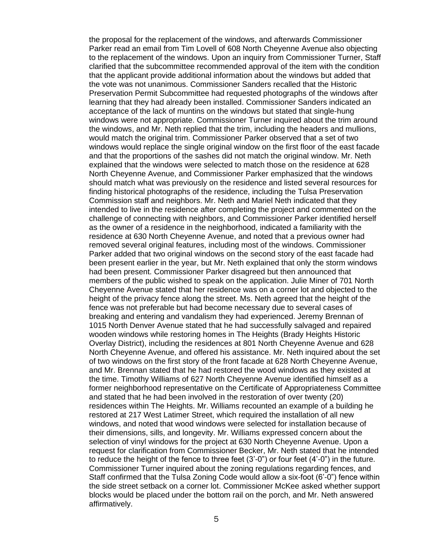the proposal for the replacement of the windows, and afterwards Commissioner Parker read an email from Tim Lovell of 608 North Cheyenne Avenue also objecting to the replacement of the windows. Upon an inquiry from Commissioner Turner, Staff clarified that the subcommittee recommended approval of the item with the condition that the applicant provide additional information about the windows but added that the vote was not unanimous. Commissioner Sanders recalled that the Historic Preservation Permit Subcommittee had requested photographs of the windows after learning that they had already been installed. Commissioner Sanders indicated an acceptance of the lack of muntins on the windows but stated that single-hung windows were not appropriate. Commissioner Turner inquired about the trim around the windows, and Mr. Neth replied that the trim, including the headers and mullions, would match the original trim. Commissioner Parker observed that a set of two windows would replace the single original window on the first floor of the east facade and that the proportions of the sashes did not match the original window. Mr. Neth explained that the windows were selected to match those on the residence at 628 North Cheyenne Avenue, and Commissioner Parker emphasized that the windows should match what was previously on the residence and listed several resources for finding historical photographs of the residence, including the Tulsa Preservation Commission staff and neighbors. Mr. Neth and Mariel Neth indicated that they intended to live in the residence after completing the project and commented on the challenge of connecting with neighbors, and Commissioner Parker identified herself as the owner of a residence in the neighborhood, indicated a familiarity with the residence at 630 North Cheyenne Avenue, and noted that a previous owner had removed several original features, including most of the windows. Commissioner Parker added that two original windows on the second story of the east facade had been present earlier in the year, but Mr. Neth explained that only the storm windows had been present. Commissioner Parker disagreed but then announced that members of the public wished to speak on the application. Julie Miner of 701 North Cheyenne Avenue stated that her residence was on a corner lot and objected to the height of the privacy fence along the street. Ms. Neth agreed that the height of the fence was not preferable but had become necessary due to several cases of breaking and entering and vandalism they had experienced. Jeremy Brennan of 1015 North Denver Avenue stated that he had successfully salvaged and repaired wooden windows while restoring homes in The Heights (Brady Heights Historic Overlay District), including the residences at 801 North Cheyenne Avenue and 628 North Cheyenne Avenue, and offered his assistance. Mr. Neth inquired about the set of two windows on the first story of the front facade at 628 North Cheyenne Avenue, and Mr. Brennan stated that he had restored the wood windows as they existed at the time. Timothy Williams of 627 North Cheyenne Avenue identified himself as a former neighborhood representative on the Certificate of Appropriateness Committee and stated that he had been involved in the restoration of over twenty (20) residences within The Heights. Mr. Williams recounted an example of a building he restored at 217 West Latimer Street, which required the installation of all new windows, and noted that wood windows were selected for installation because of their dimensions, sills, and longevity. Mr. Williams expressed concern about the selection of vinyl windows for the project at 630 North Cheyenne Avenue. Upon a request for clarification from Commissioner Becker, Mr. Neth stated that he intended to reduce the height of the fence to three feet (3'-0") or four feet (4'-0") in the future. Commissioner Turner inquired about the zoning regulations regarding fences, and Staff confirmed that the Tulsa Zoning Code would allow a six-foot (6'-0") fence within the side street setback on a corner lot. Commissioner McKee asked whether support blocks would be placed under the bottom rail on the porch, and Mr. Neth answered affirmatively.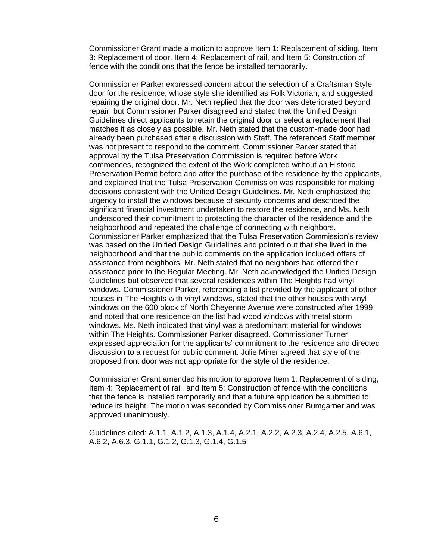Commissioner Grant made a motion to approve Item 1: Replacement of siding, Item 3: Replacement of door, Item 4: Replacement of rail, and Item 5: Construction of fence with the conditions that the fence be installed temporarily.

Commissioner Parker expressed concern about the selection of a Craftsman Style door for the residence, whose style she identified as Folk Victorian, and suggested repairing the original door. Mr. Neth replied that the door was deteriorated beyond repair, but Commissioner Parker disagreed and stated that the Unified Design Guidelines direct applicants to retain the original door or select a replacement that matches it as closely as possible. Mr. Neth stated that the custom-made door had already been purchased after a discussion with Staff. The referenced Staff member was not present to respond to the comment. Commissioner Parker stated that approval by the Tulsa Preservation Commission is required before Work commences, recognized the extent of the Work completed without an Historic Preservation Permit before and after the purchase of the residence by the applicants, and explained that the Tulsa Preservation Commission was responsible for making decisions consistent with the Unified Design Guidelines. Mr. Neth emphasized the urgency to install the windows because of security concerns and described the significant financial investment undertaken to restore the residence, and Ms. Neth underscored their commitment to protecting the character of the residence and the neighborhood and repeated the challenge of connecting with neighbors. Commissioner Parker emphasized that the Tulsa Preservation Commission's review was based on the Unified Design Guidelines and pointed out that she lived in the neighborhood and that the public comments on the application included offers of assistance from neighbors. Mr. Neth stated that no neighbors had offered their assistance prior to the Regular Meeting. Mr. Neth acknowledged the Unified Design Guidelines but observed that several residences within The Heights had vinyl windows. Commissioner Parker, referencing a list provided by the applicant of other houses in The Heights with vinyl windows, stated that the other houses with vinyl windows on the 600 block of North Cheyenne Avenue were constructed after 1999 and noted that one residence on the list had wood windows with metal storm windows. Ms. Neth indicated that vinyl was a predominant material for windows within The Heights. Commissioner Parker disagreed. Commissioner Turner expressed appreciation for the applicants' commitment to the residence and directed discussion to a request for public comment. Julie Miner agreed that style of the proposed front door was not appropriate for the style of the residence.

Commissioner Grant amended his motion to approve Item 1: Replacement of siding, Item 4: Replacement of rail, and Item 5: Construction of fence with the conditions that the fence is installed temporarily and that a future application be submitted to reduce its height. The motion was seconded by Commissioner Bumgarner and was approved unanimously.

Guidelines cited: A.1.1, A.1.2, A.1.3, A.1.4, A.2.1, A.2.2, A.2.3, A.2.4, A.2.5, A.6.1, A.6.2, A.6.3, G.1.1, G.1.2, G.1.3, G.1.4, G.1.5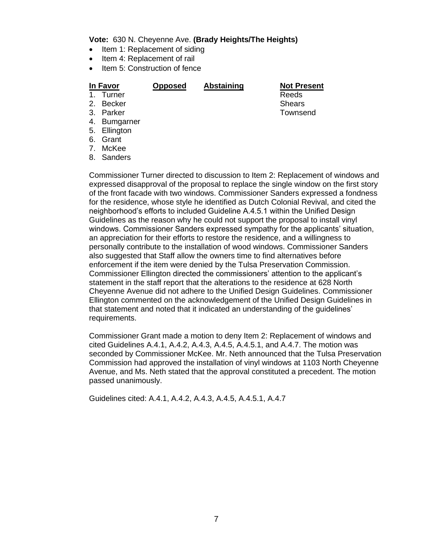**Vote:** 630 N. Cheyenne Ave. **(Brady Heights/The Heights)**

- Item 1: Replacement of siding
- Item 4: Replacement of rail
- Item 5: Construction of fence

# 1. Turner

**In Favor 6 General Copposed Abstaining Not Present**<br>1. Turner **Reeds** 

- 2. Becker Shears Shears Shears Shears Shears Shears Shears Shears Shears Shears Shears Shears Shears Shears Shears Shears Shears Shears Shears Shears Shears Shears Shears Shears Shears Shears Shears Shears Shears Shears Sh
- 3. Parker Townsend
- 4. Bumgarner
- 5. Ellington
- 6. Grant
- 7. McKee
- 8. Sanders

Commissioner Turner directed to discussion to Item 2: Replacement of windows and expressed disapproval of the proposal to replace the single window on the first story of the front facade with two windows. Commissioner Sanders expressed a fondness for the residence, whose style he identified as Dutch Colonial Revival, and cited the neighborhood's efforts to included Guideline A.4.5.1 within the Unified Design Guidelines as the reason why he could not support the proposal to install vinyl windows. Commissioner Sanders expressed sympathy for the applicants' situation, an appreciation for their efforts to restore the residence, and a willingness to personally contribute to the installation of wood windows. Commissioner Sanders also suggested that Staff allow the owners time to find alternatives before enforcement if the item were denied by the Tulsa Preservation Commission. Commissioner Ellington directed the commissioners' attention to the applicant's statement in the staff report that the alterations to the residence at 628 North Cheyenne Avenue did not adhere to the Unified Design Guidelines. Commissioner Ellington commented on the acknowledgement of the Unified Design Guidelines in that statement and noted that it indicated an understanding of the guidelines' requirements.

Commissioner Grant made a motion to deny Item 2: Replacement of windows and cited Guidelines A.4.1, A.4.2, A.4.3, A.4.5, A.4.5.1, and A.4.7. The motion was seconded by Commissioner McKee. Mr. Neth announced that the Tulsa Preservation Commission had approved the installation of vinyl windows at 1103 North Cheyenne Avenue, and Ms. Neth stated that the approval constituted a precedent. The motion passed unanimously.

Guidelines cited: A.4.1, A.4.2, A.4.3, A.4.5, A.4.5.1, A.4.7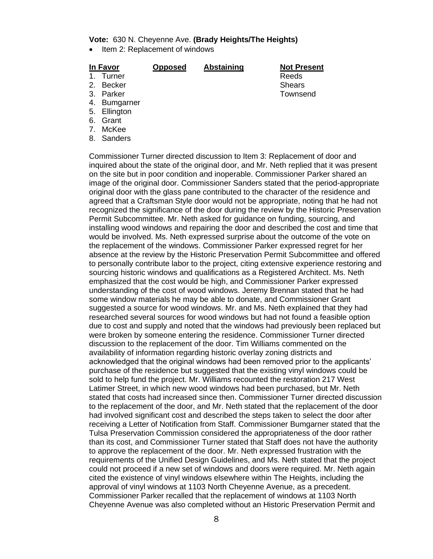### **Vote:** 630 N. Cheyenne Ave. **(Brady Heights/The Heights)**

• Item 2: Replacement of windows

### **In Favor Opposed Abstaining Not Present**

- -
- 3. Parker Townsend
- 4. Bumgarner
- 5. Ellington
- 6. Grant
- 7. McKee
- 8. Sanders

1. Turner Reeds 2. Becker Shears Shears Shears Shears

Commissioner Turner directed discussion to Item 3: Replacement of door and inquired about the state of the original door, and Mr. Neth replied that it was present on the site but in poor condition and inoperable. Commissioner Parker shared an image of the original door. Commissioner Sanders stated that the period-appropriate original door with the glass pane contributed to the character of the residence and agreed that a Craftsman Style door would not be appropriate, noting that he had not recognized the significance of the door during the review by the Historic Preservation Permit Subcommittee. Mr. Neth asked for guidance on funding, sourcing, and installing wood windows and repairing the door and described the cost and time that would be involved. Ms. Neth expressed surprise about the outcome of the vote on the replacement of the windows. Commissioner Parker expressed regret for her absence at the review by the Historic Preservation Permit Subcommittee and offered to personally contribute labor to the project, citing extensive experience restoring and sourcing historic windows and qualifications as a Registered Architect. Ms. Neth emphasized that the cost would be high, and Commissioner Parker expressed understanding of the cost of wood windows. Jeremy Brennan stated that he had some window materials he may be able to donate, and Commissioner Grant suggested a source for wood windows. Mr. and Ms. Neth explained that they had researched several sources for wood windows but had not found a feasible option due to cost and supply and noted that the windows had previously been replaced but were broken by someone entering the residence. Commissioner Turner directed discussion to the replacement of the door. Tim Williams commented on the availability of information regarding historic overlay zoning districts and acknowledged that the original windows had been removed prior to the applicants' purchase of the residence but suggested that the existing vinyl windows could be sold to help fund the project. Mr. Williams recounted the restoration 217 West Latimer Street, in which new wood windows had been purchased, but Mr. Neth stated that costs had increased since then. Commissioner Turner directed discussion to the replacement of the door, and Mr. Neth stated that the replacement of the door had involved significant cost and described the steps taken to select the door after receiving a Letter of Notification from Staff. Commissioner Bumgarner stated that the Tulsa Preservation Commission considered the appropriateness of the door rather than its cost, and Commissioner Turner stated that Staff does not have the authority to approve the replacement of the door. Mr. Neth expressed frustration with the requirements of the Unified Design Guidelines, and Ms. Neth stated that the project could not proceed if a new set of windows and doors were required. Mr. Neth again cited the existence of vinyl windows elsewhere within The Heights, including the approval of vinyl windows at 1103 North Cheyenne Avenue, as a precedent. Commissioner Parker recalled that the replacement of windows at 1103 North Cheyenne Avenue was also completed without an Historic Preservation Permit and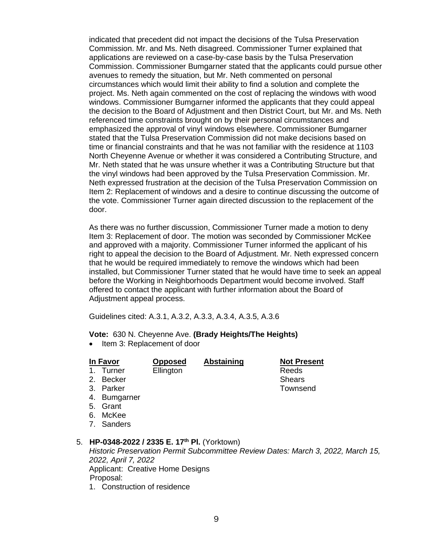indicated that precedent did not impact the decisions of the Tulsa Preservation Commission. Mr. and Ms. Neth disagreed. Commissioner Turner explained that applications are reviewed on a case-by-case basis by the Tulsa Preservation Commission. Commissioner Bumgarner stated that the applicants could pursue other avenues to remedy the situation, but Mr. Neth commented on personal circumstances which would limit their ability to find a solution and complete the project. Ms. Neth again commented on the cost of replacing the windows with wood windows. Commissioner Bumgarner informed the applicants that they could appeal the decision to the Board of Adjustment and then District Court, but Mr. and Ms. Neth referenced time constraints brought on by their personal circumstances and emphasized the approval of vinyl windows elsewhere. Commissioner Bumgarner stated that the Tulsa Preservation Commission did not make decisions based on time or financial constraints and that he was not familiar with the residence at 1103 North Cheyenne Avenue or whether it was considered a Contributing Structure, and Mr. Neth stated that he was unsure whether it was a Contributing Structure but that the vinyl windows had been approved by the Tulsa Preservation Commission. Mr. Neth expressed frustration at the decision of the Tulsa Preservation Commission on Item 2: Replacement of windows and a desire to continue discussing the outcome of the vote. Commissioner Turner again directed discussion to the replacement of the door.

As there was no further discussion, Commissioner Turner made a motion to deny Item 3: Replacement of door. The motion was seconded by Commissioner McKee and approved with a majority. Commissioner Turner informed the applicant of his right to appeal the decision to the Board of Adjustment. Mr. Neth expressed concern that he would be required immediately to remove the windows which had been installed, but Commissioner Turner stated that he would have time to seek an appeal before the Working in Neighborhoods Department would become involved. Staff offered to contact the applicant with further information about the Board of Adjustment appeal process.

Guidelines cited: A.3.1, A.3.2, A.3.3, A.3.4, A.3.5, A.3.6

**Vote:** 630 N. Cheyenne Ave. **(Brady Heights/The Heights)**

• Item 3: Replacement of door

### **In Favor Opposed Abstaining Not Present**

1. Turner Ellington **Ellington** Reeds

- 2. Becker Shears Shears Shears Shears Shears Shears Shears Shears Shears Shears Shears Shears Shears Shears Shears Shears Shears Shears Shears Shears Shears Shears Shears Shears Shears Shears Shears Shears Shears Shears Sh
- 3. Parker Townsend
- 4. Bumgarner
- 5. Grant
- 6. McKee
- 7. Sanders

### 5. **HP-0348-2022 / 2335 E. 17th Pl.** (Yorktown)

*Historic Preservation Permit Subcommittee Review Dates: March 3, 2022, March 15, 2022, April 7, 2022* Applicant: Creative Home Designs Proposal:

1. Construction of residence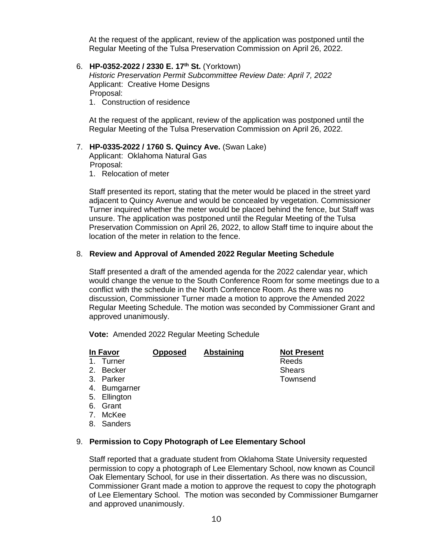At the request of the applicant, review of the application was postponed until the Regular Meeting of the Tulsa Preservation Commission on April 26, 2022.

6. **HP-0352-2022 / 2330 E. 17th St.** (Yorktown)

*Historic Preservation Permit Subcommittee Review Date: April 7, 2022* Applicant: Creative Home Designs Proposal: 1. Construction of residence

At the request of the applicant, review of the application was postponed until the Regular Meeting of the Tulsa Preservation Commission on April 26, 2022.

# 7. **HP-0335-2022 / 1760 S. Quincy Ave.** (Swan Lake) Applicant: Oklahoma Natural Gas

Proposal:

1. Relocation of meter

Staff presented its report, stating that the meter would be placed in the street yard adjacent to Quincy Avenue and would be concealed by vegetation. Commissioner Turner inquired whether the meter would be placed behind the fence, but Staff was unsure. The application was postponed until the Regular Meeting of the Tulsa Preservation Commission on April 26, 2022, to allow Staff time to inquire about the location of the meter in relation to the fence.

### 8. **Review and Approval of Amended 2022 Regular Meeting Schedule**

Staff presented a draft of the amended agenda for the 2022 calendar year, which would change the venue to the South Conference Room for some meetings due to a conflict with the schedule in the North Conference Room. As there was no discussion, Commissioner Turner made a motion to approve the Amended 2022 Regular Meeting Schedule. The motion was seconded by Commissioner Grant and approved unanimously.

**Vote:** Amended 2022 Regular Meeting Schedule

**In Favor Opposed Abstaining Not Present**<br>1. Turner **Reeds** 

# $1.$  Turner

- 2. Becker Shears Shears Shears Shears
- 3. Parker Townsend
- 
- 4. Bumgarner
- 5. Ellington
- 6. Grant
- 7. McKee
- 8. Sanders

### 9. **Permission to Copy Photograph of Lee Elementary School**

Staff reported that a graduate student from Oklahoma State University requested permission to copy a photograph of Lee Elementary School, now known as Council Oak Elementary School, for use in their dissertation. As there was no discussion, Commissioner Grant made a motion to approve the request to copy the photograph of Lee Elementary School. The motion was seconded by Commissioner Bumgarner and approved unanimously.